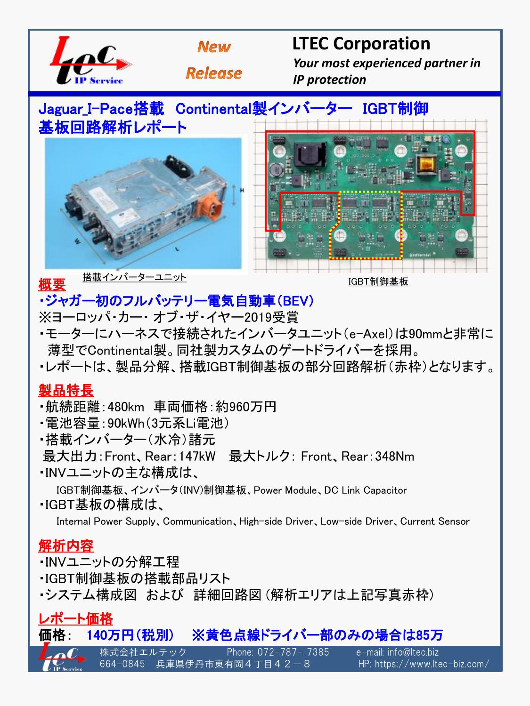

## ・ジャガー初のフルバッテリー電気自動車(BEV)

- ※ヨーロッパ・カー・ オブ・ザ・イヤー2019受賞
- ・モーターにハーネスで接続されたインバータユニット(e-Axel)は90mmと非常に 薄型でContinental製。同社製カスタムのゲートドライバーを採用。
- ・レポートは、製品分解、搭載IGBT制御基板の部分回路解析(赤枠)となります。

#### 製品特長

- ・航続距離:480km 車両価格:約960万円
- ・電池容量:90kWh(3元系Li電池)
- ・搭載インバーター(水冷)諸元
- 最大出力:Front、Rear:147kW 最大トルク: Front、Rear:348Nm
- ・INVユニットの主な構成は、

 IGBT制御基板、インバータ(INV)制御基板、Power Module、DC Link Capacitor ・IGBT基板の構成は、

Internal Power Supply、Communication、High-side Driver、Low-side Driver、Current Sensor

### 解析内容

・INVユニットの分解工程

・IGBT制御基板の搭載部品リスト

・システム構成図 および 詳細回路図 (解析エリアは上記写真赤枠)

### レポート価格

## 価格: 140万円(税別) ※黄色点線ドライバー部のみの場合は85万

株式会社エルテック Phone: 072-787- 7385 e-mail: info@ltec.biz

664-0845 兵庫県伊丹市東有岡4丁目42-8 HP: https://www.ltec-biz.com/